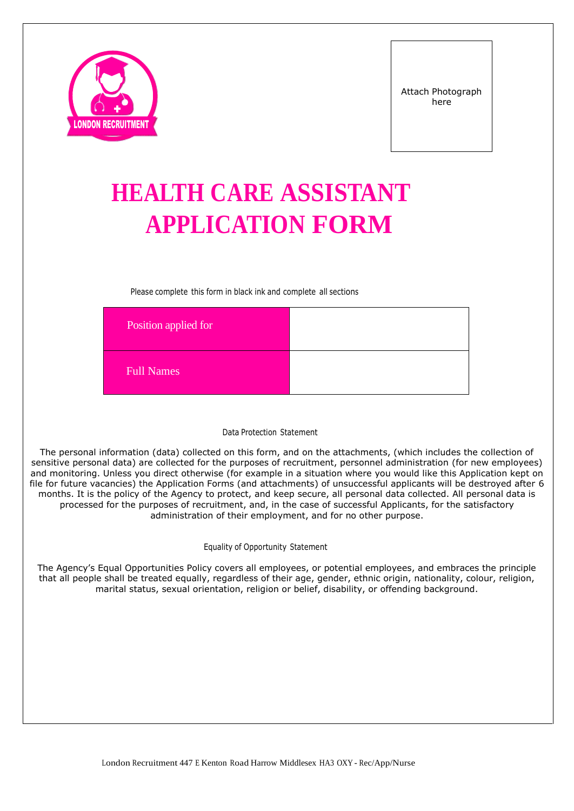

# **HEALTH CARE ASSISTANT APPLICATION FORM**

Please complete this form in black ink and complete all sections

| Position applied for |  |
|----------------------|--|
| <b>Full Names</b>    |  |

#### Data Protection Statement

The personal information (data) collected on this form, and on the attachments, (which includes the collection of sensitive personal data) are collected for the purposes of recruitment, personnel administration (for new employees) and monitoring. Unless you direct otherwise (for example in a situation where you would like this Application kept on file for future vacancies) the Application Forms (and attachments) of unsuccessful applicants will be destroyed after 6 months. It is the policy of the Agency to protect, and keep secure, all personal data collected. All personal data is processed for the purposes of recruitment, and, in the case of successful Applicants, for the satisfactory administration of their employment, and for no other purpose.

#### Equality of Opportunity Statement

The Agency's Equal Opportunities Policy covers all employees, or potential employees, and embraces the principle that all people shall be treated equally, regardless of their age, gender, ethnic origin, nationality, colour, religion, marital status, sexual orientation, religion or belief, disability, or offending background.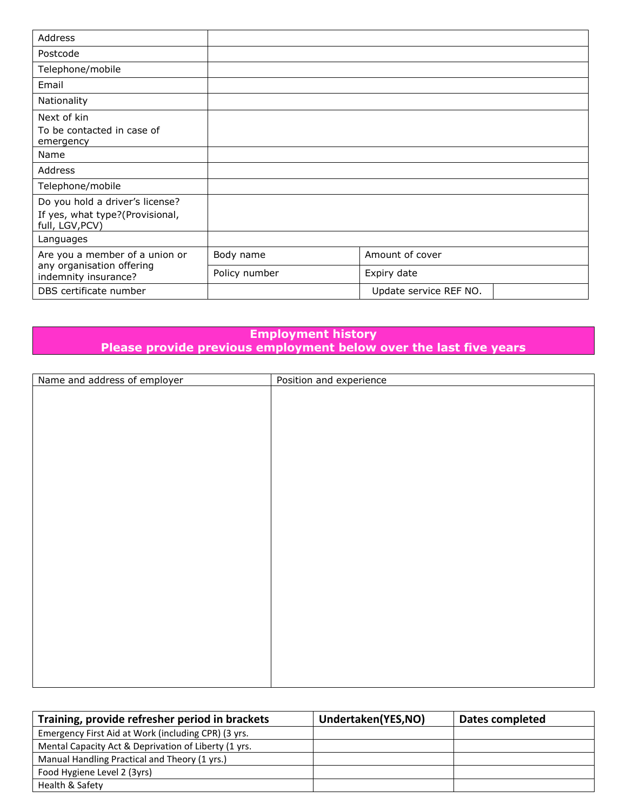| Address                                                                               |               |                        |
|---------------------------------------------------------------------------------------|---------------|------------------------|
| Postcode                                                                              |               |                        |
| Telephone/mobile                                                                      |               |                        |
| Email                                                                                 |               |                        |
| Nationality                                                                           |               |                        |
| Next of kin<br>To be contacted in case of<br>emergency                                |               |                        |
| Name                                                                                  |               |                        |
| Address                                                                               |               |                        |
| Telephone/mobile                                                                      |               |                        |
| Do you hold a driver's license?<br>If yes, what type?(Provisional,<br>full, LGV, PCV) |               |                        |
| Languages                                                                             |               |                        |
| Are you a member of a union or                                                        | Body name     | Amount of cover        |
| any organisation offering<br>indemnity insurance?                                     | Policy number | Expiry date            |
| DBS certificate number                                                                |               | Update service REF NO. |

## **Employment history Please provide previous employment below over the last five years**

| Name and address of employer | Position and experience |
|------------------------------|-------------------------|
|                              |                         |
|                              |                         |
|                              |                         |
|                              |                         |
|                              |                         |
|                              |                         |
|                              |                         |
|                              |                         |
|                              |                         |
|                              |                         |
|                              |                         |
|                              |                         |
|                              |                         |
|                              |                         |
|                              |                         |
|                              |                         |
|                              |                         |
|                              |                         |
|                              |                         |
|                              |                         |
|                              |                         |
|                              |                         |
|                              |                         |
|                              |                         |
|                              |                         |

| Training, provide refresher period in brackets       | Undertaken(YES,NO) | Dates completed |
|------------------------------------------------------|--------------------|-----------------|
| Emergency First Aid at Work (including CPR) (3 yrs.  |                    |                 |
| Mental Capacity Act & Deprivation of Liberty (1 yrs. |                    |                 |
| Manual Handling Practical and Theory (1 yrs.)        |                    |                 |
| Food Hygiene Level 2 (3yrs)                          |                    |                 |
| Health & Safety                                      |                    |                 |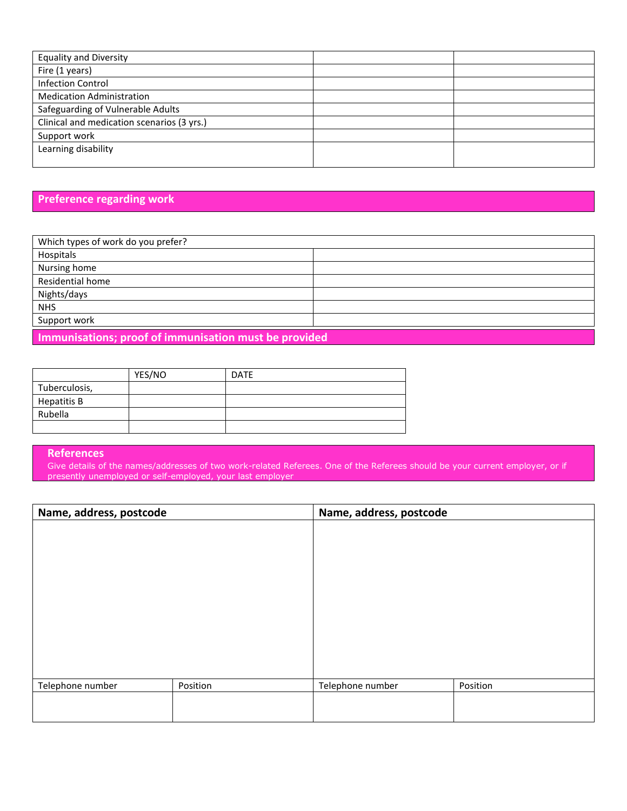| <b>Equality and Diversity</b>              |  |
|--------------------------------------------|--|
| Fire (1 years)                             |  |
| <b>Infection Control</b>                   |  |
| <b>Medication Administration</b>           |  |
| Safeguarding of Vulnerable Adults          |  |
| Clinical and medication scenarios (3 yrs.) |  |
| Support work                               |  |
| Learning disability                        |  |
|                                            |  |

## **Preference regarding work**

| Which types of work do you prefer?                    |  |
|-------------------------------------------------------|--|
| Hospitals                                             |  |
| Nursing home                                          |  |
| Residential home                                      |  |
| Nights/days                                           |  |
| <b>NHS</b>                                            |  |
| Support work                                          |  |
| Immunisations; proof of immunisation must be provided |  |

|               | YES/NO | <b>DATE</b> |
|---------------|--------|-------------|
| Tuberculosis, |        |             |
| Hepatitis B   |        |             |
| Rubella       |        |             |
|               |        |             |

#### **References**

Give details of the names/addresses of two work-related Referees. One of the Referees should be your current employer, or if presently unemployed or self-employed, your last employer

| Name, address, postcode |          | Name, address, postcode |          |
|-------------------------|----------|-------------------------|----------|
|                         |          |                         |          |
|                         |          |                         |          |
|                         |          |                         |          |
|                         |          |                         |          |
|                         |          |                         |          |
|                         |          |                         |          |
|                         |          |                         |          |
|                         |          |                         |          |
|                         |          |                         |          |
|                         |          |                         |          |
| Telephone number        | Position | Telephone number        | Position |
|                         |          |                         |          |
|                         |          |                         |          |